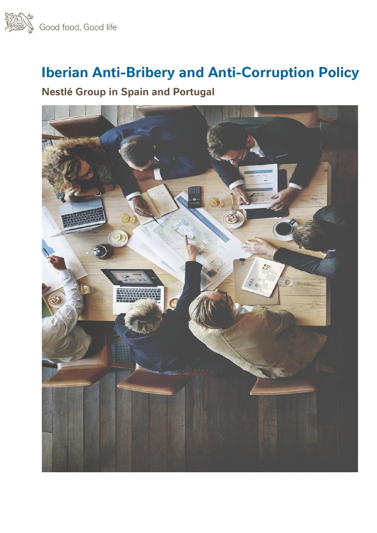

# **Iberian Anti-Bribery and Anti-Corruption Policy**

## **Nestlé Group in Spain and Portugal**

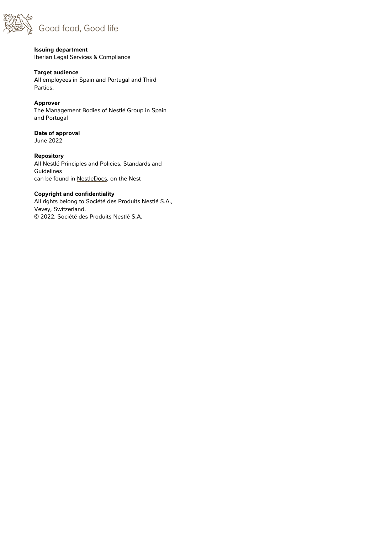

#### **Issuing department** Iberian Legal Services & Compliance

#### **Target audience**

All employees in Spain and Portugal and Third Parties.

#### **Approver**

The Management Bodies of Nestlé Group in Spain and Portugal

#### **Date of approval** June 2022

**Repository** All Nestlé Principles and Policies, Standards and

Guidelines can be found in NestleDocs, on the Nest

#### **Copyright and confidentiality**

All rights belong to Société des Produits Nestlé S.A., Vevey, Switzerland. © 2022, Société des Produits Nestlé S.A.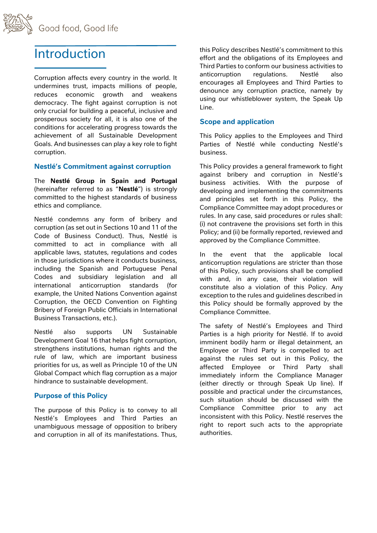

## **Introduction**

Corruption affects every country in the world. It undermines trust, impacts millions of people, reduces economic growth and weakens democracy. The fight against corruption is not only crucial for building a peaceful, inclusive and prosperous society for all, it is also one of the conditions for accelerating progress towards the achievement of all Sustainable Development Goals. And businesses can play a key role to fight corruption.

#### **Nestlé's Commitment against corruption**

The **Nestlé Group in Spain and Portugal** (hereinafter referred to as "**Nestlé**") is strongly committed to the highest standards of business ethics and compliance.

Nestlé condemns any form of bribery and corruption (as set out in Sections 10 and 11 of the Code of Business Conduct). Thus, Nestlé is committed to act in compliance with all applicable laws, statutes, regulations and codes in those jurisdictions where it conducts business, including the Spanish and Portuguese Penal Codes and subsidiary legislation and all international anticorruption standards (for example, the United Nations Convention against Corruption, the OECD Convention on Fighting Bribery of Foreign Public Officials in International Business Transactions, etc.).

Nestlé also supports UN Sustainable Development Goal 16 that helps fight corruption, strengthens institutions, human rights and the rule of law, which are important business priorities for us, as well as Principle 10 of the UN Global Compact which flag corruption as a major hindrance to sustainable development.

### **Purpose of this Policy**

The purpose of this Policy is to convey to all Nestlé's Employees and Third Parties an unambiguous message of opposition to bribery and corruption in all of its manifestations. Thus, this Policy describes Nestlé's commitment to this effort and the obligations of its Employees and Third Parties to conform our business activities to anticorruption regulations. Nestlé also encourages all Employees and Third Parties to denounce any corruption practice, namely by using our whistleblower system, the Speak Up Line.

### **Scope and application**

This Policy applies to the Employees and Third Parties of Nestlé while conducting Nestlé's business.

This Policy provides a general framework to fight against bribery and corruption in Nestlé's business activities. With the purpose of developing and implementing the commitments and principles set forth in this Policy, the Compliance Committee may adopt procedures or rules. In any case, said procedures or rules shall: (i) not contravene the provisions set forth in this Policy; and (ii) be formally reported, reviewed and approved by the Compliance Committee.

In the event that the applicable local anticorruption regulations are stricter than those of this Policy, such provisions shall be complied with and, in any case, their violation will constitute also a violation of this Policy. Any exception to the rules and guidelines described in this Policy should be formally approved by the Compliance Committee.

The safety of Nestlé's Employees and Third Parties is a high priority for Nestlé. If to avoid imminent bodily harm or illegal detainment, an Employee or Third Party is compelled to act against the rules set out in this Policy, the affected Employee or Third Party shall immediately inform the Compliance Manager (either directly or through Speak Up line). If possible and practical under the circumstances, such situation should be discussed with the Compliance Committee prior to any act inconsistent with this Policy. Nestlé reserves the right to report such acts to the appropriate authorities.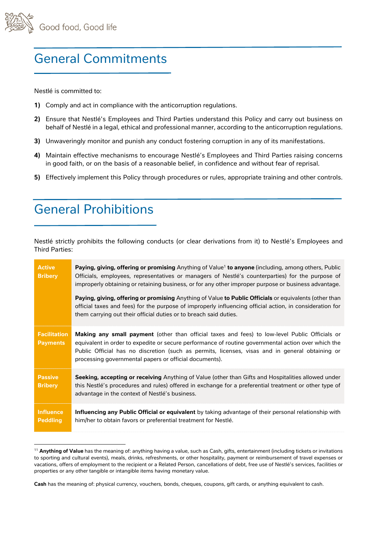

## General Commitments

Nestlé is committed to:

- **1)** Comply and act in compliance with the anticorruption regulations.
- **2)** Ensure that Nestlé's Employees and Third Parties understand this Policy and carry out business on behalf of Nestlé in a legal, ethical and professional manner, according to the anticorruption regulations.
- **3)** Unwaveringly monitor and punish any conduct fostering corruption in any of its manifestations.
- **4)** Maintain effective mechanisms to encourage Nestlé's Employees and Third Parties raising concerns in good faith, or on the basis of a reasonable belief, in confidence and without fear of reprisal.
- **5)** Effectively implement this Policy through procedures or rules, appropriate training and other controls.

# General Prohibitions

Nestlé strictly prohibits the following conducts (or clear derivations from it) to Nestlé's Employees and Third Parties:

| <b>Active</b><br><b>Bribery</b>        | <b>Paying, giving, offering or promising</b> Anything of Value <sup>1</sup> to anyone (including, among others, Public<br>Officials, employees, representatives or managers of Nestlé's counterparties) for the purpose of<br>improperly obtaining or retaining business, or for any other improper purpose or business advantage.<br>Paying, giving, offering or promising Anything of Value to Public Officials or equivalents (other than<br>official taxes and fees) for the purpose of improperly influencing official action, in consideration for<br>them carrying out their official duties or to breach said duties. |
|----------------------------------------|-------------------------------------------------------------------------------------------------------------------------------------------------------------------------------------------------------------------------------------------------------------------------------------------------------------------------------------------------------------------------------------------------------------------------------------------------------------------------------------------------------------------------------------------------------------------------------------------------------------------------------|
| <b>Facilitation</b><br><b>Payments</b> | <b>Making any small payment</b> (other than official taxes and fees) to low-level Public Officials or<br>equivalent in order to expedite or secure performance of routine governmental action over which the<br>Public Official has no discretion (such as permits, licenses, visas and in general obtaining or<br>processing governmental papers or official documents).                                                                                                                                                                                                                                                     |
| <b>Passive</b><br><b>Bribery</b>       | <b>Seeking, accepting or receiving</b> Anything of Value (other than Gifts and Hospitalities allowed under<br>this Nestlé's procedures and rules) offered in exchange for a preferential treatment or other type of<br>advantage in the context of Nestlé's business.                                                                                                                                                                                                                                                                                                                                                         |
| <b>Influence</b><br><b>Peddling</b>    | Influencing any Public Official or equivalent by taking advantage of their personal relationship with<br>him/her to obtain favors or preferential treatment for Nestlé.                                                                                                                                                                                                                                                                                                                                                                                                                                                       |

<sup>&</sup>lt;sup>11</sup> Anything of Value has the meaning of: anything having a value, such as Cash, gifts, entertainment (including tickets or invitations to sporting and cultural events), meals, drinks, refreshments, or other hospitality, payment or reimbursement of travel expenses or vacations, offers of employment to the recipient or a Related Person, cancellations of debt, free use of Nestlé's services, facilities or properties or any other tangible or intangible items having monetary value.

**Cash** has the meaning of: physical currency, vouchers, bonds, cheques, coupons, gift cards, or anything equivalent to cash.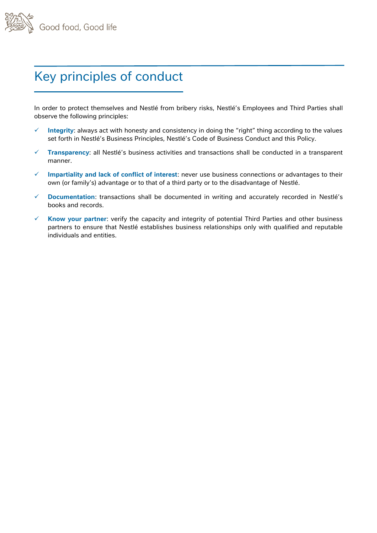

# Key principles of conduct

In order to protect themselves and Nestlé from bribery risks, Nestlé's Employees and Third Parties shall observe the following principles:

- ✓ **Integrity**: always act with honesty and consistency in doing the "right" thing according to the values set forth in Nestlé's Business Principles, Nestlé's Code of Business Conduct and this Policy.
- ✓ **Transparency**: all Nestlé's business activities and transactions shall be conducted in a transparent manner.
- ✓ **Impartiality and lack of conflict of interest**: never use business connections or advantages to their own (or family's) advantage or to that of a third party or to the disadvantage of Nestlé.
- ✓ **Documentation**: transactions shall be documented in writing and accurately recorded in Nestlé's books and records.
- ✓ **Know your partner**: verify the capacity and integrity of potential Third Parties and other business partners to ensure that Nestlé establishes business relationships only with qualified and reputable individuals and entities.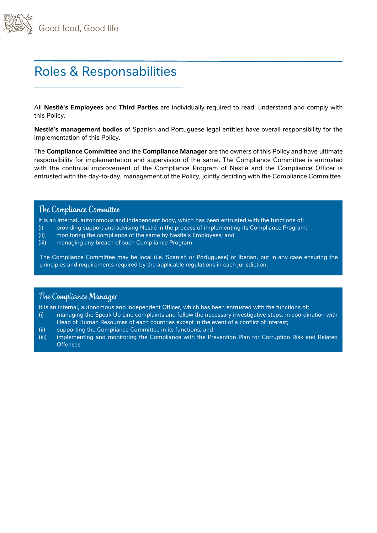

# Roles & Responsabilities

All **Nestlé's Employees** and **Third Parties** are individually required to read, understand and comply with this Policy.

**Nestlé's management bodies** of Spanish and Portuguese legal entities have overall responsibility for the implementation of this Policy.

The **Compliance Committee** and the **Compliance Manager** are the owners of this Policy and have ultimate responsibility for implementation and supervision of the same. The Compliance Committee is entrusted with the continual improvement of the Compliance Program of Nestlé and the Compliance Officer is entrusted with the day-to-day, management of the Policy, jointly deciding with the Compliance Committee.

### **The Compliance Committee**

It is an internal, autonomous and independent body, which has been entrusted with the functions of:

- (i) providing support and advising Nestlé in the process of implementing its Compliance Program;
- (ii) monitoring the compliance of the same by Nestlé's Employees; and
- (iii) managing any breach of such Compliance Program.

The Compliance Committee may be local (i.e. Spanish or Portuguese) or Iberian, but in any case ensuring the principles and requirements required by the applicable regulations in each jurisdiction.

### **The Compliance Manager**

It is an internal, autonomous and independent Officer, which has been entrusted with the functions of:

- (i) managing the Speak Up Line complaints and follow the necessary investigative steps, in coordination with Head of Human Resources of each countries except in the event of a conflict of interest;
- (ii) supporting the Compliance Committee in its functions; and
- (iii) implementing and monitoring the Compliance with the Prevention Plan for Corruption Risk and Related Offenses.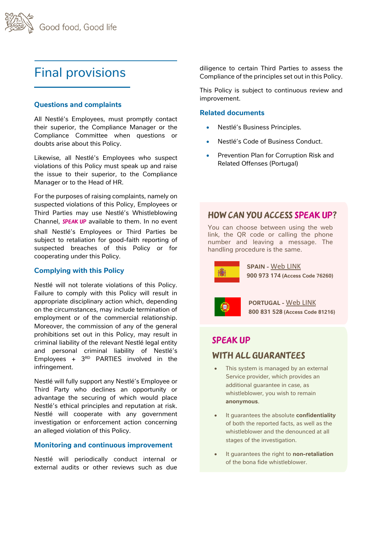# Final provisions

### **Questions and complaints**

All Nestlé's Employees, must promptly contact their superior, the Compliance Manager or the Compliance Committee when questions or doubts arise about this Policy.

Likewise, all Nestlé's Employees who suspect violations of this Policy must speak up and raise the issue to their superior, to the Compliance Manager or to the Head of HR.

For the purposes of raising complaints, namely on suspected violations of this Policy, Employees or Third Parties may use Nestlé's Whistleblowing Channel, **SPEAK UP** available to them. In no event shall Nestlé's Employees or Third Parties be subject to retaliation for good-faith reporting of suspected breaches of this Policy or for cooperating under this Policy.

#### **Complying with this Policy**

Nestlé will not tolerate violations of this Policy. Failure to comply with this Policy will result in appropriate disciplinary action which, depending on the circumstances, may include termination of employment or of the commercial relationship. Moreover, the commission of any of the general prohibitions set out in this Policy, may result in criminal liability of the relevant Nestlé legal entity and personal criminal liability of Nestlé's Employees +  $3^{RD}$  PARTIES involved in the infringement.

Nestlé will fully support any Nestlé's Employee or Third Party who declines an opportunity or advantage the securing of which would place Nestlé's ethical principles and reputation at risk. Nestlé will cooperate with any government investigation or enforcement action concerning an alleged violation of this Policy.

#### **Monitoring and continuous improvement**

Nestlé will periodically conduct internal or external audits or other reviews such as due diligence to certain Third Parties to assess the Compliance of the principles set out in this Policy.

This Policy is subject to continuous review and improvement.

#### **Related documents**

- Nestlé's Business Principles.
- Nestlé's Code of Business Conduct.
- Prevention Plan for Corruption Risk and Related Offenses (Portugal)

### **How can you access** Speak Up**?**

You can choose between using the web link, the QR code or calling the phone number and leaving a message. The handling procedure is the same.

**SPAIN -** [Web LINK](https://www.speakupfeedback.eu/web/A2VY73/es) **900 973 174 (Access Code 76260)**

**PORTUGAL -** [Web LINK](https://www.speakupfeedback.eu/web/A2VY73/pt) **800 831 528 (Access Code 81216)**

### Speak Up

### with all guarantees

- This system is managed by an external Service provider, which provides an additional guarantee in case, as whistleblower, you wish to remain **anonymous**.
- It guarantees the absolute **confidentiality** of both the reported facts, as well as the whistleblower and the denounced at all stages of the investigation.
- It guarantees the right to **non-retaliation** of the bona fide whistleblower.